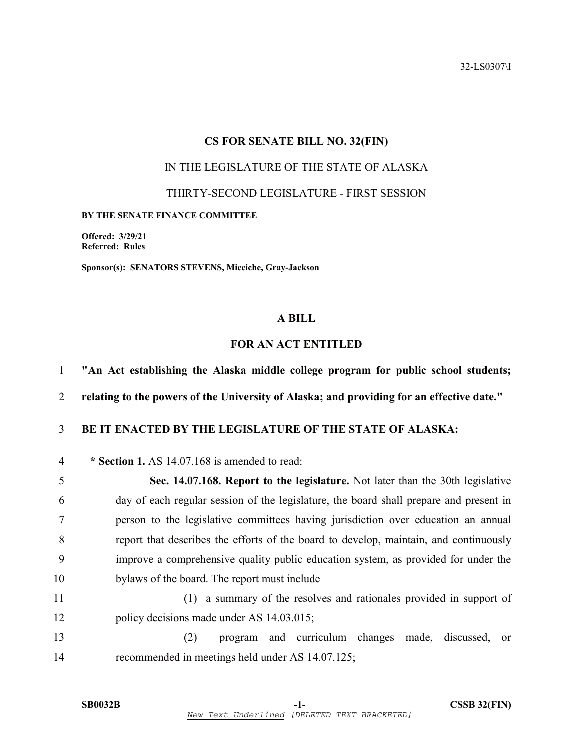32-LS0307\I

#### **CS FOR SENATE BILL NO. 32(FIN)**

# IN THE LEGISLATURE OF THE STATE OF ALASKA

THIRTY-SECOND LEGISLATURE - FIRST SESSION

#### **BY THE SENATE FINANCE COMMITTEE**

**Offered: 3/29/21 Referred: Rules** 

**Sponsor(s): SENATORS STEVENS, Micciche, Gray-Jackson** 

### **A BILL**

## **FOR AN ACT ENTITLED**

1 **"An Act establishing the Alaska middle college program for public school students;** 

2 **relating to the powers of the University of Alaska; and providing for an effective date."** 

## 3 **BE IT ENACTED BY THE LEGISLATURE OF THE STATE OF ALASKA:**

4 **\* Section 1.** AS 14.07.168 is amended to read:

5 **Sec. 14.07.168. Report to the legislature.** Not later than the 30th legislative 6 day of each regular session of the legislature, the board shall prepare and present in 7 person to the legislative committees having jurisdiction over education an annual 8 report that describes the efforts of the board to develop, maintain, and continuously 9 improve a comprehensive quality public education system, as provided for under the 10 bylaws of the board. The report must include

11 (1) a summary of the resolves and rationales provided in support of 12 policy decisions made under AS 14.03.015;

13 (2) program and curriculum changes made, discussed, or 14 recommended in meetings held under AS 14.07.125;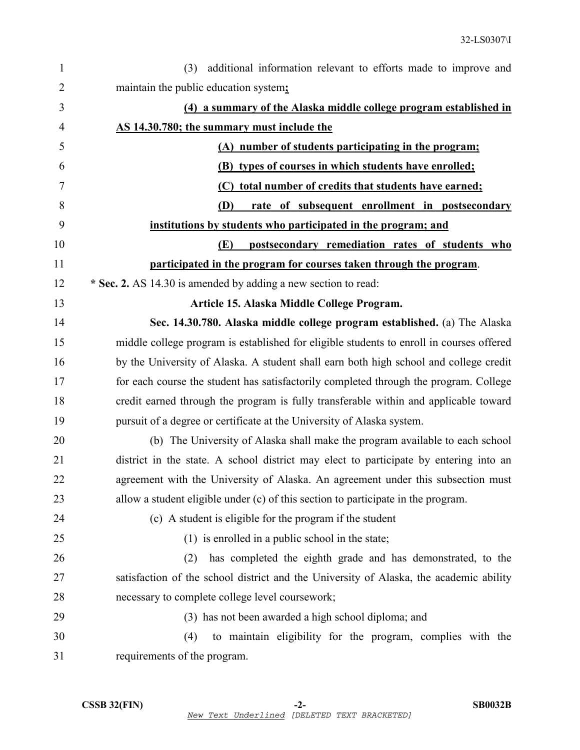| $\mathbf{1}$   | additional information relevant to efforts made to improve and<br>(3)                    |
|----------------|------------------------------------------------------------------------------------------|
| $\overline{2}$ | maintain the public education system;                                                    |
| 3              | (4) a summary of the Alaska middle college program established in                        |
| 4              | <b>AS 14.30.780; the summary must include the</b>                                        |
| 5              | (A) number of students participating in the program;                                     |
| 6              | (B) types of courses in which students have enrolled;                                    |
| 7              | (C) total number of credits that students have earned;                                   |
| 8              | <b>(D)</b><br>rate of subsequent enrollment in postsecondary                             |
| 9              | institutions by students who participated in the program; and                            |
| 10             | <b>(E)</b><br>postsecondary remediation rates of students who                            |
| 11             | participated in the program for courses taken through the program.                       |
| 12             | * Sec. 2. AS 14.30 is amended by adding a new section to read:                           |
| 13             | Article 15. Alaska Middle College Program.                                               |
| 14             | Sec. 14.30.780. Alaska middle college program established. (a) The Alaska                |
| 15             | middle college program is established for eligible students to enroll in courses offered |
| 16             | by the University of Alaska. A student shall earn both high school and college credit    |
| 17             | for each course the student has satisfactorily completed through the program. College    |
| 18             | credit earned through the program is fully transferable within and applicable toward     |
| 19             | pursuit of a degree or certificate at the University of Alaska system.                   |
| 20             | (b) The University of Alaska shall make the program available to each school             |
| 21             | district in the state. A school district may elect to participate by entering into an    |
| 22             | agreement with the University of Alaska. An agreement under this subsection must         |
| 23             | allow a student eligible under (c) of this section to participate in the program.        |
| 24             | (c) A student is eligible for the program if the student                                 |
| 25             | $(1)$ is enrolled in a public school in the state;                                       |
| 26             | has completed the eighth grade and has demonstrated, to the<br>(2)                       |
| 27             | satisfaction of the school district and the University of Alaska, the academic ability   |
| 28             | necessary to complete college level coursework;                                          |
| 29             | (3) has not been awarded a high school diploma; and                                      |
| 30             | to maintain eligibility for the program, complies with the<br>(4)                        |
| 31             | requirements of the program.                                                             |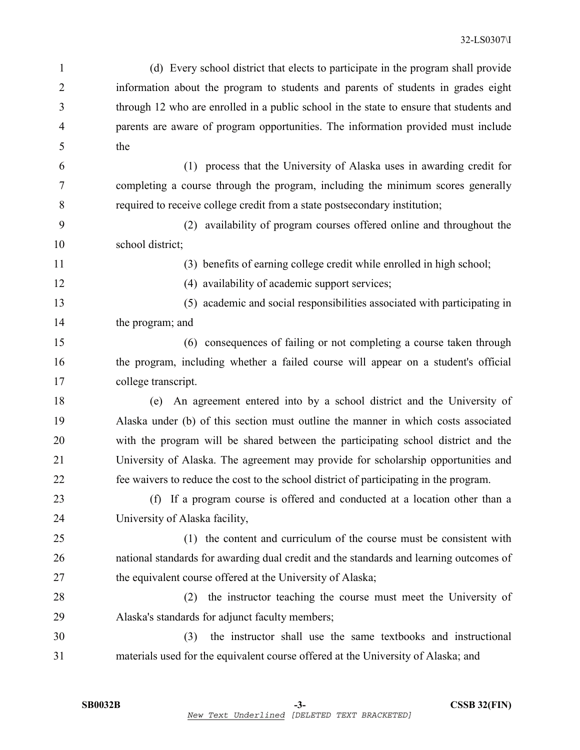|   | (d) Every school district that elects to participate in the program shall provide       |
|---|-----------------------------------------------------------------------------------------|
| 2 | information about the program to students and parents of students in grades eight       |
| 3 | through 12 who are enrolled in a public school in the state to ensure that students and |
| 4 | parents are aware of program opportunities. The information provided must include       |
|   | the                                                                                     |

6 (1) process that the University of Alaska uses in awarding credit for 7 completing a course through the program, including the minimum scores generally 8 required to receive college credit from a state postsecondary institution;

9 (2) availability of program courses offered online and throughout the 10 school district;

11 (3) benefits of earning college credit while enrolled in high school;

12 (4) availability of academic support services;

13 (5) academic and social responsibilities associated with participating in 14 the program; and

15 (6) consequences of failing or not completing a course taken through 16 the program, including whether a failed course will appear on a student's official 17 college transcript.

18 (e) An agreement entered into by a school district and the University of 19 Alaska under (b) of this section must outline the manner in which costs associated 20 with the program will be shared between the participating school district and the 21 University of Alaska. The agreement may provide for scholarship opportunities and 22 fee waivers to reduce the cost to the school district of participating in the program.

23 (f) If a program course is offered and conducted at a location other than a 24 University of Alaska facility,

25 (1) the content and curriculum of the course must be consistent with 26 national standards for awarding dual credit and the standards and learning outcomes of 27 the equivalent course offered at the University of Alaska;

28 (2) the instructor teaching the course must meet the University of 29 Alaska's standards for adjunct faculty members;

30 (3) the instructor shall use the same textbooks and instructional 31 materials used for the equivalent course offered at the University of Alaska; and